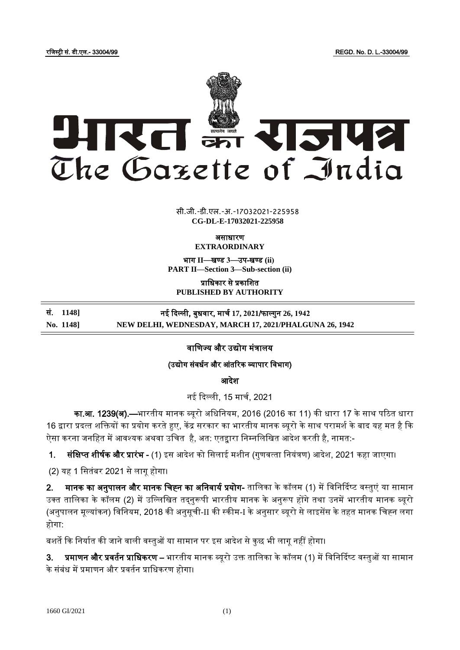रजिस्ट्री सं. डी.एल.- 33004/99 REGD. No. D. L.-33004/99



 $\overline{a}$   $\overline{a}$   $\overline{a}$ सी.जी.-डी.एल.-अ.-17032021-22595<mark>8</mark> **CG-DL-E-17032021-225958**

असाधारण

**EXTRAORDINARY**

भाग **II**—खण् ड **3**—उप-खण् ड **(ii) PART II—Section 3—Sub-section (ii)**

प्राजधकार से प्रकाजित **PUBLISHED BY AUTHORITY**

सं. **1148]** नई ददल्ली, बुधवार, मार्ध **17, 2021**/फाल् गुन **26, 1942 No. 1148] NEW DELHI, WEDNESDAY, MARCH 17, 2021/PHALGUNA 26, 1942**

## वाणिज्य और उद्योग मंत्रालय

(उद्योग संवर्धन और आंतरिक व्यापार विभाग)

आदेश

नई दिल्ली, 15 मार्च, 2021

का.<mark>आ. 1239(अ).—</mark>भारतीय मानक ब्यूरो अधिनियम, 2016 (2016 का 11) की धारा 17 के साथ पठित धारा 16 द्वारा प्रदत्त शक्तियों का प्रयोग करते हुए, केंद्र सरकार का भारतीय मानक ब्यूरो के साथ परामर्श के बाद यह मत है कि .<br>ऐसा करना जनहित में आवश्यक अथवा उचित है, अत: एतद्वारा निम्नलिखित आदेश करती है, नामत:-

1. संक्षिप्त शीर्षक और प्रारंभ - (1) इस आदेश को सिलाई मशीन (गुणवत्ता नियंत्रण) आदेश, 2021 कहा जाएगा।

(2) यह 1 सितंबर 2021 से लागू होगा।

2. मानक का अनुपालन और मानक चिह्न का अनिवार्य प्रयोग- तालिका के कॉलम (1) में विनिर्दिष्ट वस्तुएं या सामान उक्त तालिका के कॉलम (2) में उल्लिखित तदनुरूपी भारतीय मानक के अनुरूप होंगे तथा उनमें भारतीय मानक ब्यूरो (अनुपालन मूल्यांकन) विनियम, 2018 की अनुसूची-II की स्कीम-I के अनुसार ब्यूरो से लाइसेंस के तहत मानक चिह्न लगा होगा:

बशर्ते कि निर्यात की जाने वाली वस्तुओं या सामान पर इस आदेश से कुछ भी लागू नहीं होगा।

3. प्रमाणन और प्रवर्तन प्राधिकरण – भारतीय मानक ब्यूरो उक्त तालिका के कॉलम (1) में विनिर्दिष्ट वस्तुओं या सामान के संबंध में प्रमाणन और प्रवर्तन प्राधिकरण होगा।